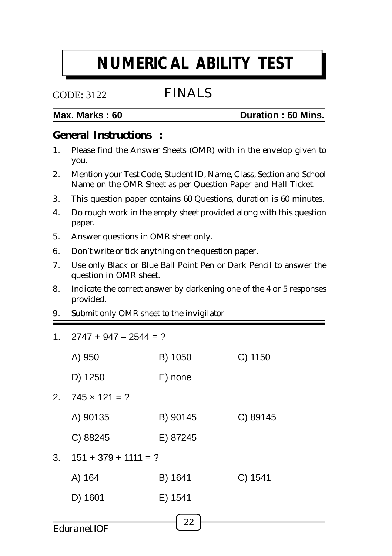# **NUMERICAL ABILITY TEST**

## CODE: 3122

# FINALS

## **Max. Marks : 60 Duration : 60 Mins.**

## **General Instructions :**

- 1. Please find the Answer Sheets (OMR) with in the envelop given to you.
- 2. Mention your Test Code, Student ID, Name, Class, Section and School Name on the OMR Sheet as per Question Paper and Hall Ticket.
- 3. This question paper contains 60 Questions, duration is 60 minutes.
- 4. Do rough work in the empty sheet provided along with this question paper.
- 5. Answer questions in OMR sheet only.
- 6. Don't write or tick anything on the question paper.
- 7. Use only Black or Blue Ball Point Pen or Dark Pencil to answer the question in OMR sheet.
- 8. Indicate the correct answer by darkening one of the 4 or 5 responses provided.
- 9. Submit only OMR sheet to the invigilator
- 1.  $2747 + 947 2544 = ?$

|                           | A) 950                 | B) 1050  | C) 1150  |  |  |
|---------------------------|------------------------|----------|----------|--|--|
|                           | D) 1250                | E) none  |          |  |  |
| 2.                        | $745 \times 121 = ?$   |          |          |  |  |
|                           | A) 90135               | B) 90145 | C) 89145 |  |  |
|                           | C) 88245               | E) 87245 |          |  |  |
| 3.                        | $151 + 379 + 1111 = ?$ |          |          |  |  |
|                           | A) 164                 | B) 1641  | C) 1541  |  |  |
|                           | D) 1601                | E) 1541  |          |  |  |
|                           |                        |          |          |  |  |
| 22<br><b>Eduranet IOF</b> |                        |          |          |  |  |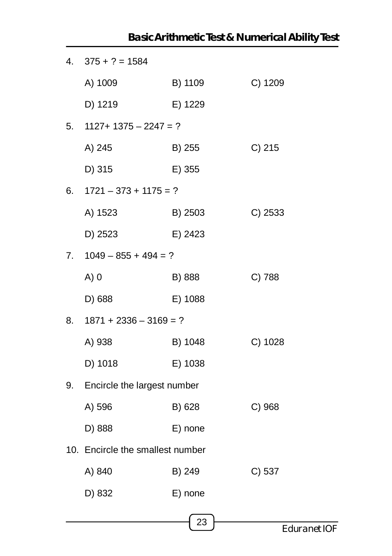|    |                                  |         | <b>Basic Arithmetic Test &amp; Numerical Ability Test</b> |
|----|----------------------------------|---------|-----------------------------------------------------------|
| 4. | $375 + ? = 1584$                 |         |                                                           |
|    | A) 1009                          | B) 1109 | C) 1209                                                   |
|    | D) 1219                          | E) 1229 |                                                           |
| 5. | $1127+1375-2247=?$               |         |                                                           |
|    | A) 245                           | B) 255  | C) 215                                                    |
|    | D) 315                           | E) 355  |                                                           |
| 6. | $1721 - 373 + 1175 = ?$          |         |                                                           |
|    | A) 1523                          | B) 2503 | $C)$ 2533                                                 |
|    | D) 2523                          | E) 2423 |                                                           |
| 7. | $1049 - 855 + 494 = ?$           |         |                                                           |
|    | $A)$ 0                           | B) 888  | C) 788                                                    |
|    | D) 688                           | E) 1088 |                                                           |
| 8. | $1871 + 2336 - 3169 = ?$         |         |                                                           |
|    | A) 938                           | B) 1048 | C) 1028                                                   |
|    | D) 1018                          | E) 1038 |                                                           |
| 9. | Encircle the largest number      |         |                                                           |
|    | A) 596                           | B) 628  | C) 968                                                    |
|    | D) 888                           | E) none |                                                           |
|    | 10. Encircle the smallest number |         |                                                           |
|    | A) 840                           | B) 249  | C) 537                                                    |
|    | D) 832                           | E) none |                                                           |
|    |                                  |         |                                                           |

23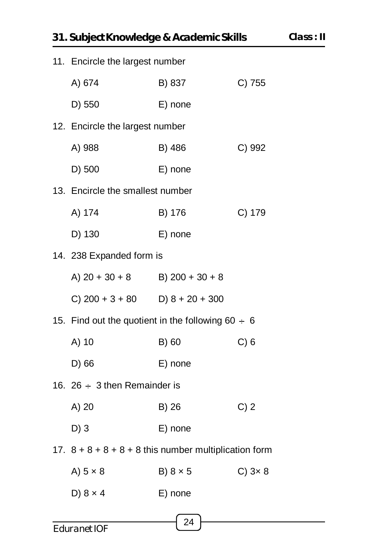| 31. Subject Knowledge & Academic Skills<br>11. Encircle the largest number<br>C) 755<br>A) 674<br>B) 837<br>D) 550<br>E) none<br>12. Encircle the largest number<br>A) 988<br>B) 486<br>C) 992<br>D) 500<br>E) none<br>13. Encircle the smallest number<br>A) 174<br>C) 179<br>B) 176<br>D) 130<br>E) none<br>14. 238 Expanded form is<br>A) $20 + 30 + 8$ B) $200 + 30 + 8$<br>C) $200 + 3 + 80$ D) $8 + 20 + 300$<br>15. Find out the quotient in the following $60 \div 6$<br>A) 10<br>B) 60<br>C) 6 |                 | Class     |  |
|---------------------------------------------------------------------------------------------------------------------------------------------------------------------------------------------------------------------------------------------------------------------------------------------------------------------------------------------------------------------------------------------------------------------------------------------------------------------------------------------------------|-----------------|-----------|--|
|                                                                                                                                                                                                                                                                                                                                                                                                                                                                                                         |                 |           |  |
|                                                                                                                                                                                                                                                                                                                                                                                                                                                                                                         |                 |           |  |
|                                                                                                                                                                                                                                                                                                                                                                                                                                                                                                         |                 |           |  |
|                                                                                                                                                                                                                                                                                                                                                                                                                                                                                                         |                 |           |  |
|                                                                                                                                                                                                                                                                                                                                                                                                                                                                                                         |                 |           |  |
|                                                                                                                                                                                                                                                                                                                                                                                                                                                                                                         |                 |           |  |
|                                                                                                                                                                                                                                                                                                                                                                                                                                                                                                         |                 |           |  |
|                                                                                                                                                                                                                                                                                                                                                                                                                                                                                                         |                 |           |  |
|                                                                                                                                                                                                                                                                                                                                                                                                                                                                                                         |                 |           |  |
|                                                                                                                                                                                                                                                                                                                                                                                                                                                                                                         |                 |           |  |
|                                                                                                                                                                                                                                                                                                                                                                                                                                                                                                         |                 |           |  |
|                                                                                                                                                                                                                                                                                                                                                                                                                                                                                                         |                 |           |  |
|                                                                                                                                                                                                                                                                                                                                                                                                                                                                                                         |                 |           |  |
|                                                                                                                                                                                                                                                                                                                                                                                                                                                                                                         |                 |           |  |
| D) 66                                                                                                                                                                                                                                                                                                                                                                                                                                                                                                   | E) none         |           |  |
| 16. 26 $\div$ 3 then Remainder is                                                                                                                                                                                                                                                                                                                                                                                                                                                                       |                 |           |  |
| A) 20                                                                                                                                                                                                                                                                                                                                                                                                                                                                                                   | B) 26           | C) 2      |  |
| $D)$ 3                                                                                                                                                                                                                                                                                                                                                                                                                                                                                                  | E) none         |           |  |
| 17. $8 + 8 + 8 + 8 + 8$ this number multiplication form                                                                                                                                                                                                                                                                                                                                                                                                                                                 |                 |           |  |
| A) $5 \times 8$                                                                                                                                                                                                                                                                                                                                                                                                                                                                                         | B) $8 \times 5$ | $C)$ 3x 8 |  |
| D) $8 \times 4$                                                                                                                                                                                                                                                                                                                                                                                                                                                                                         | E) none         |           |  |
|                                                                                                                                                                                                                                                                                                                                                                                                                                                                                                         | 24              |           |  |
| Eduranet IOF                                                                                                                                                                                                                                                                                                                                                                                                                                                                                            |                 |           |  |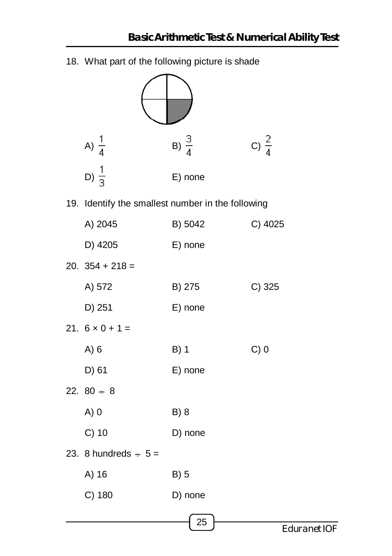18. What part of the following picture is shade A)  $\frac{1}{4}$  B)  $\frac{3}{4}$  C)  $\frac{2}{4}$ D)  $\frac{1}{3}$  E) none 19. Identify the smallest number in the following A) 2045 B) 5042 C) 4025 D) 4205 E) none 20.  $354 + 218 =$ A) 572 B) 275 C) 325 D) 251 E) none 21.  $6 \times 0 + 1 =$ A) 6 B) 1 C) 0 D) 61 E) none 22.  $80 \div 8$ A) 0 B) 8 C) 10 D) none 23. 8 hundreds  $\div$  5 = A) 16 B) 5 C) 180 D) none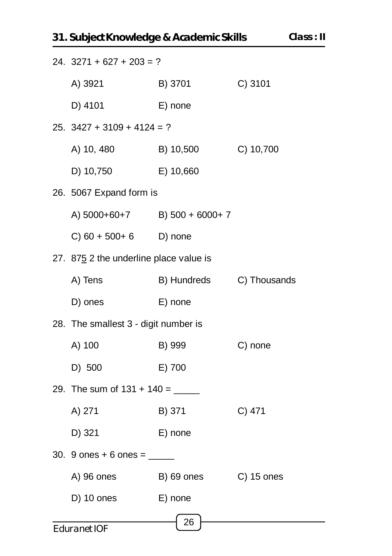| 31. Subject Knowledge & Academic Skills<br>СI |                                  |              |  |  |  |  |
|-----------------------------------------------|----------------------------------|--------------|--|--|--|--|
| $24. 3271 + 627 + 203 = ?$                    |                                  |              |  |  |  |  |
| A) 3921                                       | B) 3701                          | C) 3101      |  |  |  |  |
| D) 4101                                       | E) none                          |              |  |  |  |  |
| $25. \ \ 3427 + 3109 + 4124 = ?$              |                                  |              |  |  |  |  |
| A) 10, 480                                    | B) 10,500                        | C) 10,700    |  |  |  |  |
| D) 10,750                                     | E) 10,660                        |              |  |  |  |  |
| 26. 5067 Expand form is                       |                                  |              |  |  |  |  |
|                                               | A) $5000+60+7$ B) $500 + 6000+7$ |              |  |  |  |  |
| $C(60 + 500 + 6)$ D) none                     |                                  |              |  |  |  |  |
| 27. 875 2 the underline place value is        |                                  |              |  |  |  |  |
| A) Tens                                       | B) Hundreds                      | C) Thousands |  |  |  |  |
| D) ones                                       | E) none                          |              |  |  |  |  |
| 28. The smallest 3 - digit number is          |                                  |              |  |  |  |  |
| A) 100                                        | B) 999                           | C) none      |  |  |  |  |
| D) 500                                        | E) 700                           |              |  |  |  |  |

29. The sum of  $131 + 140 =$  \_\_\_\_\_\_\_\_  $C)$  471 A) 271 B) 371

D) 321 E) none

- 30. 9 ones + 6 ones =  $\frac{ }{ }$ 
	- A) 96 ones B) 69 ones C) 15 ones

26

 $D)$  10 ones E) none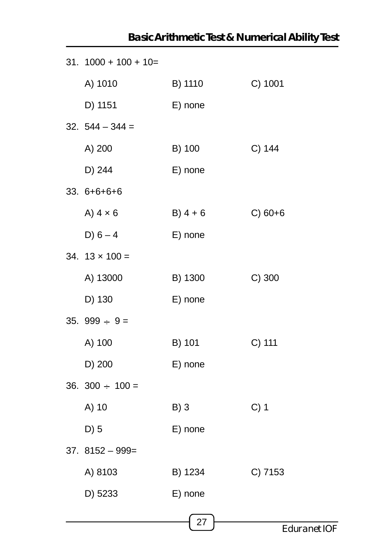|                         |            | <b>Basic Antimieuc lest &amp; Numerical Ability lest</b> |
|-------------------------|------------|----------------------------------------------------------|
| $31. 1000 + 100 + 10 =$ |            |                                                          |
| A) 1010                 | B) 1110    | C) 1001                                                  |
| D) 1151                 | E) none    |                                                          |
| $32.544 - 344 =$        |            |                                                          |
| A) 200                  | B) 100     | C) 144                                                   |
| D) 244                  | E) none    |                                                          |
| $33.6 + 6 + 6 + 6$      |            |                                                          |
| A) $4 \times 6$         | $B) 4 + 6$ | $C) 60+6$                                                |
| $D) 6 - 4$              | E) none    |                                                          |
| 34. $13 \times 100 =$   |            |                                                          |
| A) 13000                | B) 1300    | $C)$ 300                                                 |
| D) 130                  | E) none    |                                                          |
| 35. $999 \div 9 =$      |            |                                                          |
| A) 100                  | B) 101     | C) 111                                                   |
| D) 200                  | E) none    |                                                          |
| 36. $300 \div 100 =$    |            |                                                          |
| A) 10                   | B)3        | $C)$ 1                                                   |
| $D)$ 5                  | E) none    |                                                          |
| $37.8152 - 999 =$       |            |                                                          |
| A) 8103                 | B) 1234    | C) 7153                                                  |
| D) 5233                 | E) none    |                                                          |
|                         | 27         |                                                          |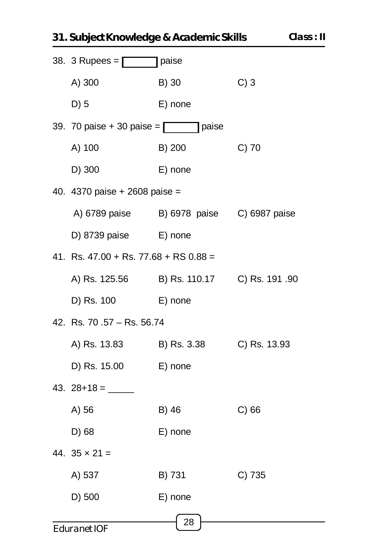|                                             | 38. 3 Rupees = $\sqrt{ }$ paise<br>$C)$ 3<br>B) 30 |              |  |  |  |
|---------------------------------------------|----------------------------------------------------|--------------|--|--|--|
| A) 300                                      |                                                    |              |  |  |  |
| $D)$ 5                                      | E) none                                            |              |  |  |  |
| 39. 70 paise + 30 paise = $\Box$ paise      |                                                    |              |  |  |  |
| A) 100                                      | B) 200                                             | $C)$ 70      |  |  |  |
| D) 300                                      | E) none                                            |              |  |  |  |
| 40. 4370 paise + 2608 paise =               |                                                    |              |  |  |  |
| A) 6789 paise B) 6978 paise C) 6987 paise   |                                                    |              |  |  |  |
| D) 8739 paise E) none                       |                                                    |              |  |  |  |
| 41. Rs. $47.00 +$ Rs. $77.68 +$ RS $0.88 =$ |                                                    |              |  |  |  |
| A) Rs. 125.56 B) Rs. 110.17 C) Rs. 191.90   |                                                    |              |  |  |  |
| D) Rs. 100                                  | E) none                                            |              |  |  |  |
| 42. Rs. 70.57 - Rs. 56.74                   |                                                    |              |  |  |  |
| A) Rs. 13.83 B) Rs. 3.38                    |                                                    | C) Rs. 13.93 |  |  |  |
| D) Rs. 15.00                                | E) none                                            |              |  |  |  |
|                                             |                                                    |              |  |  |  |
| A) 56                                       | B) 46                                              | $C)$ 66      |  |  |  |
| D) 68                                       | E) none                                            |              |  |  |  |
| 44. $35 \times 21 =$                        |                                                    |              |  |  |  |
| A) 537                                      | B) 731                                             | C) 735       |  |  |  |
| D) 500                                      | E) none                                            |              |  |  |  |
| Eduranet IOF                                | 28                                                 |              |  |  |  |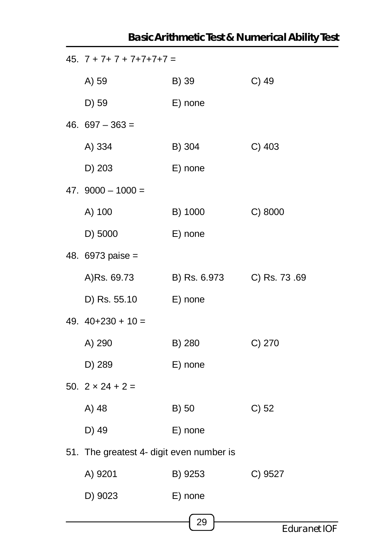| 45. $7 + 7 + 7 + 7 + 7 + 7 + 7 =$        |              |              |  |  |  |
|------------------------------------------|--------------|--------------|--|--|--|
| A) 59                                    | B) 39        | $C)$ 49      |  |  |  |
| D) 59                                    | E) none      |              |  |  |  |
| 46. $697 - 363 =$                        |              |              |  |  |  |
| A) 334                                   | B) 304       | $C)$ 403     |  |  |  |
| D) 203                                   | E) none      |              |  |  |  |
| 47. $9000 - 1000 =$                      |              |              |  |  |  |
| A) 100                                   | B) 1000      | C) 8000      |  |  |  |
| D) 5000                                  | E) none      |              |  |  |  |
| 48. 6973 paise =                         |              |              |  |  |  |
| A)Rs. 69.73                              | B) Rs. 6.973 | C) Rs. 73.69 |  |  |  |
| D) Rs. 55.10                             | E) none      |              |  |  |  |
| 49. $40+230 + 10 =$                      |              |              |  |  |  |
| A) 290                                   | B) 280       | C) 270       |  |  |  |
| D) 289                                   | E) none      |              |  |  |  |
| 50. $2 \times 24 + 2 =$                  |              |              |  |  |  |
| A) 48                                    | B) 50        | $C$ ) 52     |  |  |  |
| D) 49                                    | E) none      |              |  |  |  |
| 51. The greatest 4- digit even number is |              |              |  |  |  |
| A) 9201                                  | B) 9253      | C) 9527      |  |  |  |
| D) 9023                                  | E) none      |              |  |  |  |
|                                          | 29           |              |  |  |  |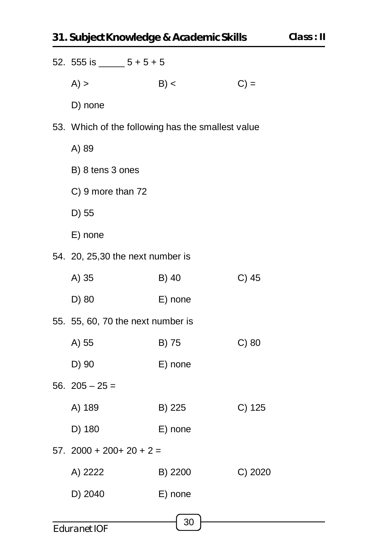| $A)$ ><br>B) <<br>$C$ ) =<br>D) none<br>53. Which of the following has the smallest value<br>A) 89<br>B) 8 tens 3 ones<br>C) 9 more than 72<br>D) 55<br>E) none<br>54. 20, 25,30 the next number is<br>$C)$ 45<br>A) 35<br>B) 40<br>D) 80<br>E) none<br>55. 55, 60, 70 the next number is<br>A) 55<br>B) 75<br>$C)$ 80 |
|------------------------------------------------------------------------------------------------------------------------------------------------------------------------------------------------------------------------------------------------------------------------------------------------------------------------|
|                                                                                                                                                                                                                                                                                                                        |
|                                                                                                                                                                                                                                                                                                                        |
|                                                                                                                                                                                                                                                                                                                        |
|                                                                                                                                                                                                                                                                                                                        |
|                                                                                                                                                                                                                                                                                                                        |
|                                                                                                                                                                                                                                                                                                                        |
|                                                                                                                                                                                                                                                                                                                        |
|                                                                                                                                                                                                                                                                                                                        |
|                                                                                                                                                                                                                                                                                                                        |
|                                                                                                                                                                                                                                                                                                                        |
|                                                                                                                                                                                                                                                                                                                        |
|                                                                                                                                                                                                                                                                                                                        |
|                                                                                                                                                                                                                                                                                                                        |
| D) 90<br>E) none                                                                                                                                                                                                                                                                                                       |
| 56. $205 - 25 =$                                                                                                                                                                                                                                                                                                       |
| A) 189<br>B) 225<br>C) 125                                                                                                                                                                                                                                                                                             |
| D) 180<br>E) none                                                                                                                                                                                                                                                                                                      |
| $57.2000 + 200 + 20 + 2 =$                                                                                                                                                                                                                                                                                             |
| C) 2020<br>A) 2222<br>B) 2200                                                                                                                                                                                                                                                                                          |
| D) 2040<br>E) none                                                                                                                                                                                                                                                                                                     |
| 30<br>Eduranet IOF                                                                                                                                                                                                                                                                                                     |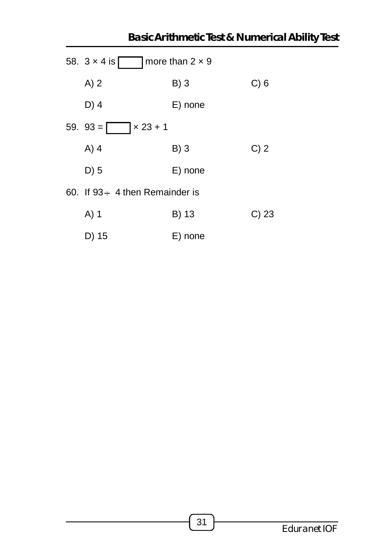|                                      |                        | <b>Basic Arithmetic Test &amp; Numerical Ability Test</b> |
|--------------------------------------|------------------------|-----------------------------------------------------------|
| 58. $3 \times 4$ is [                | more than $2 \times 9$ |                                                           |
| A)2                                  | $B)$ 3                 | C) 6                                                      |
| $D)$ 4                               | E) none                |                                                           |
| $x 23 + 1$<br>$59.93 =$              |                        |                                                           |
| $A)$ 4                               | $B)$ 3                 | C) 2                                                      |
| $D)$ 5                               | E) none                |                                                           |
| 60. If $93 \div 4$ then Remainder is |                        |                                                           |
| $A)$ 1                               | B) 13                  | $C)$ 23                                                   |
| D) 15                                | E) none                |                                                           |